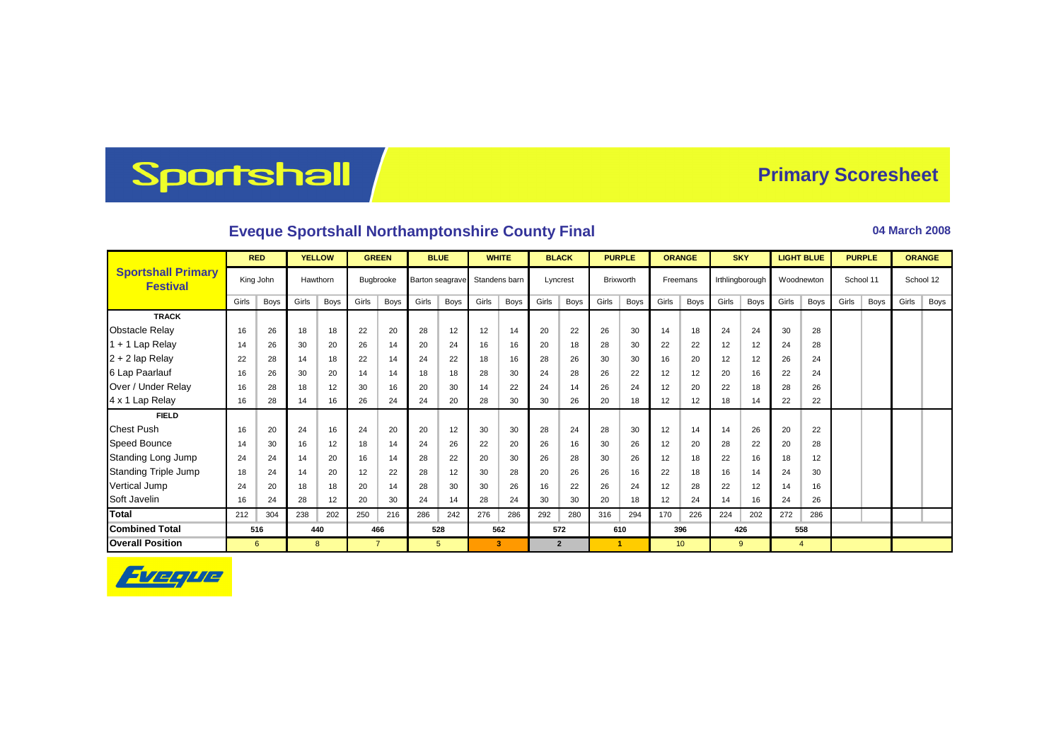## Sportshall

## **Primary Scoresheet**

## **Eveque Sportshall Northamptonshire County Final <b>Discrete 2008** 04 March 2008

|                                              | <b>RED</b> |           | <b>YELLOW</b> |          | <b>GREEN</b>   |           | <b>BLUE</b> |                 |       | <b>WHITE</b>  |       | <b>BLACK</b> |       | <b>PURPLE</b> |                 | <b>ORANGE</b> |       | <b>SKY</b>      | <b>LIGHT BLUE</b> |             | <b>PURPLE</b> |      |           | <b>ORANGE</b> |
|----------------------------------------------|------------|-----------|---------------|----------|----------------|-----------|-------------|-----------------|-------|---------------|-------|--------------|-------|---------------|-----------------|---------------|-------|-----------------|-------------------|-------------|---------------|------|-----------|---------------|
| <b>Sportshall Primary</b><br><b>Festival</b> |            | King John |               | Hawthorn |                | Bugbrooke |             | Barton seagrave |       | Standens barn |       | Lyncrest     |       | Brixworth     |                 | Freemans      |       | Irthlingborough |                   | Woodnewton  | School 11     |      | School 12 |               |
|                                              | Girls      | Boys      | Girls         | Boys     | Girls          | Boys      | Girls       | Boys            | Girls | Boys          | Girls | Boys         | Girls | <b>Boys</b>   | Girls           | <b>Boys</b>   | Girls | Boys            | Girls             | <b>Boys</b> | Girls         | Boys | Girls     | Boys          |
| <b>TRACK</b>                                 |            |           |               |          |                |           |             |                 |       |               |       |              |       |               |                 |               |       |                 |                   |             |               |      |           |               |
| <b>Obstacle Relay</b>                        | 16         | 26        | 18            | 18       | 22             | 20        | 28          | 12              | 12    | 14            | 20    | 22           | 26    | 30            | 14              | 18            | 24    | 24              | 30                | 28          |               |      |           |               |
| $1 + 1$ Lap Relay                            | 14         | 26        | 30            | 20       | 26             | 14        | 20          | 24              | 16    | 16            | 20    | 18           | 28    | 30            | 22              | 22            | 12    | 12              | 24                | 28          |               |      |           |               |
| $2 + 2$ lap Relay                            | 22         | 28        | 14            | 18       | 22             | 14        | 24          | 22              | 18    | 16            | 28    | 26           | 30    | 30            | 16              | 20            | 12    | 12              | 26                | 24          |               |      |           |               |
| 6 Lap Paarlauf                               | 16         | 26        | 30            | 20       | 14             | 14        | 18          | 18              | 28    | 30            | 24    | 28           | 26    | 22            | 12              | 12            | 20    | 16              | 22                | 24          |               |      |           |               |
| Over / Under Relay                           | 16         | 28        | 18            | 12       | 30             | 16        | 20          | 30              | 14    | 22            | 24    | 14           | 26    | 24            | 12              | 20            | 22    | 18              | 28                | 26          |               |      |           |               |
| 4 x 1 Lap Relay                              | 16         | 28        | 14            | 16       | 26             | 24        | 24          | 20              | 28    | 30            | 30    | 26           | 20    | 18            | 12              | 12            | 18    | 14              | 22                | 22          |               |      |           |               |
| <b>FIELD</b>                                 |            |           |               |          |                |           |             |                 |       |               |       |              |       |               |                 |               |       |                 |                   |             |               |      |           |               |
| <b>Chest Push</b>                            | 16         | 20        | 24            | 16       | 24             | 20        | 20          | 12              | 30    | 30            | 28    | 24           | 28    | 30            | 12              | 14            | 14    | 26              | 20                | 22          |               |      |           |               |
| <b>Speed Bounce</b>                          | 14         | 30        | 16            | 12       | 18             | 14        | 24          | 26              | 22    | 20            | 26    | 16           | 30    | 26            | 12              | 20            | 28    | 22              | 20                | 28          |               |      |           |               |
| Standing Long Jump                           | 24         | 24        | 14            | 20       | 16             | 14        | 28          | 22              | 20    | 30            | 26    | 28           | 30    | 26            | 12              | 18            | 22    | 16              | 18                | 12          |               |      |           |               |
| <b>Standing Triple Jump</b>                  | 18         | 24        | 14            | 20       | 12             | 22        | 28          | 12              | 30    | 28            | 20    | 26           | 26    | 16            | 22              | 18            | 16    | 14              | 24                | 30          |               |      |           |               |
| <b>Vertical Jump</b>                         | 24         | 20        | 18            | 18       | 20             | 14        | 28          | 30              | 30    | 26            | 16    | 22           | 26    | 24            | 12              | 28            | 22    | 12              | 14                | 16          |               |      |           |               |
| Soft Javelin                                 | 16         | 24        | 28            | 12       | 20             | 30        | 24          | 14              | 28    | 24            | 30    | 30           | 20    | 18            | 12              | 24            | 14    | 16              | 24                | 26          |               |      |           |               |
| <b>Total</b>                                 | 212        | 304       | 238           | 202      | 250            | 216       | 286         | 242             | 276   | 286           | 292   | 280          | 316   | 294           | 170             | 226           | 224   | 202             | 272               | 286         |               |      |           |               |
| <b>Combined Total</b>                        |            | 516       |               | 440      |                | 466       |             | 528             |       | 562           |       | 572          |       | 610           |                 | 396           |       | 426             |                   | 558         |               |      |           |               |
| <b>Overall Position</b>                      | 6          |           | 8             |          | $\overline{7}$ |           |             | 5               |       | 3             |       | $\mathbf{2}$ |       |               | 10 <sup>°</sup> |               | 9     |                 | $\overline{4}$    |             |               |      |           |               |

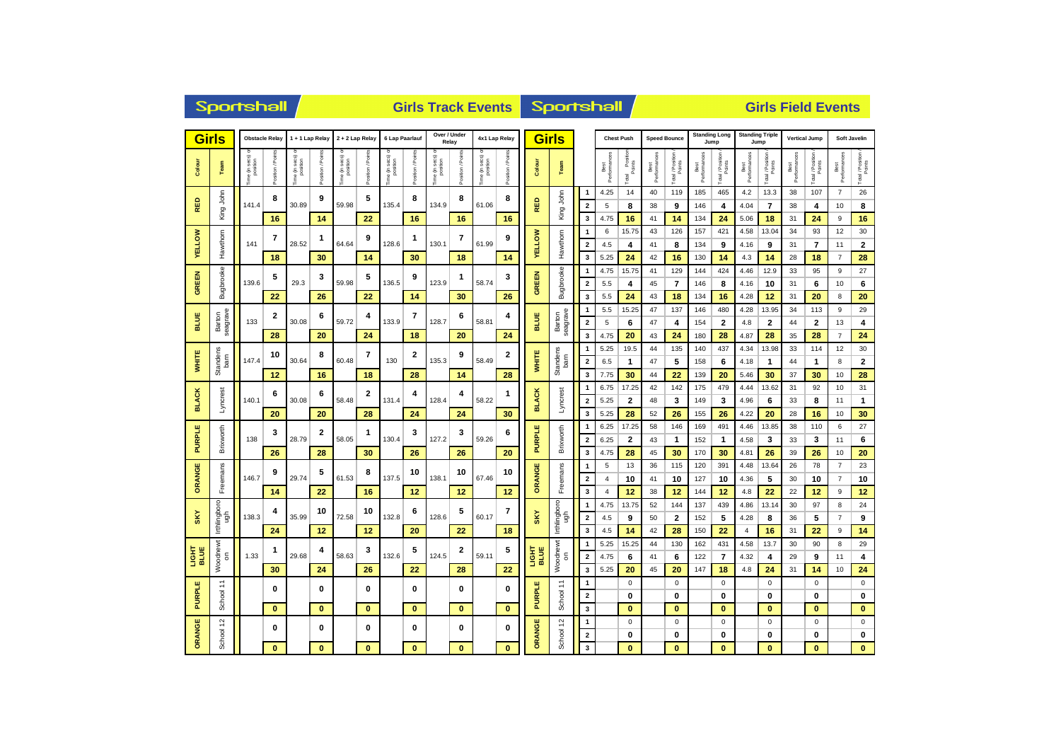| <b>Sportshall</b><br><b>Girls Track Events</b> |                            |                           |                   |                            |                   |                                              |                      |               |                       |                             |                   | <b>Sportshall</b> |                   |                    |                                           | <b>Girls Field Events</b>                                 |                             |                              |                     |                                            |                     |                                     |                        |                              |                      |                                          |                      |                                          |
|------------------------------------------------|----------------------------|---------------------------|-------------------|----------------------------|-------------------|----------------------------------------------|----------------------|---------------|-----------------------|-----------------------------|-------------------|-------------------|-------------------|--------------------|-------------------------------------------|-----------------------------------------------------------|-----------------------------|------------------------------|---------------------|--------------------------------------------|---------------------|-------------------------------------|------------------------|------------------------------|----------------------|------------------------------------------|----------------------|------------------------------------------|
| <b>Girls</b><br><b>Obstacle Relay</b>          |                            |                           | 1+1 Lap Relay     |                            | 2 + 2 Lap Relay   |                                              | 6 Lap Paarlauf       |               | Over / Under<br>Relay |                             | 4x1 Lap Relay     |                   | <b>Girls</b>      |                    | <b>Chest Push</b>                         |                                                           | <b>Speed Bounce</b>         |                              |                     | <b>Standing Long</b><br>Jump               |                     | <b>Standing Triple</b><br>Jump      |                        | <b>Vertical Jump</b>         |                      | <b>Soft Javelin</b>                      |                      |                                          |
| Colour                                         | Team                       | e (in secs) o<br>position | ition / Poir      | ne (in secs) o<br>position | osition / Poin    | sec <sub>S</sub><br>$\frac{5}{2}$<br>e (in s | osition / Points     | ime (in secs) | Position / Poir       | ime (in secs) o<br>position | osition / Poir    | ime (in secs) o   | Position / Points | Colour             | Team                                      |                                                           | Best<br>Performances        | Total Position               | Best<br>Performanc  | Total / Position                           | Best<br>Performand  | Total / Position                    | Best<br>Performances   | Total / Position             | Best<br>Performances | Total / Position<br>Points               | Best<br>Performances | Total / Position<br>Points               |
| RED                                            | King John                  | 141.4                     | 8                 | 30.89                      | 9                 | 59.98                                        | 5                    | 135.4         | 8                     | 134.9                       | 8                 | 61.06             | 8                 | RED                | King John                                 | $\overline{1}$<br>$\overline{\mathbf{2}}$                 | 4.25<br>5                   | 14<br>8                      | 40<br>38            | 119<br>9                                   | 185<br>146          | 465<br>4                            | 4.2<br>4.04            | 13.3<br>$\overline{7}$       | 38<br>38             | 107<br>4                                 | $\overline{7}$<br>10 | 26<br>8                                  |
| <b>ELLOW</b>                                   |                            |                           | 16<br>7           |                            | 14<br>1           |                                              | 22<br>9              |               | 16<br>1               |                             | 16<br>7           |                   | 16<br>9           |                    |                                           | 3<br>$\mathbf{1}$                                         | 4.75<br>6                   | 16<br>15.75                  | 41<br>43            | 14<br>126                                  | 134<br>157          | 24<br>421                           | 5.06<br>4.58           | 18<br>13.04                  | 31<br>34             | 24<br>93                                 | 9<br>12              | 16<br>30                                 |
| $\succ$                                        | Hawthorn                   | 141                       | 18                | 28.52                      | 30                | 64.64                                        | 14                   | 128.6         | 30                    | 130.1                       | 18                | 61.99             | 14                | <b>YELLOW</b>      | Hawthorn                                  | $\overline{2}$<br>3                                       | 4.5<br>5.25                 | 4<br>24                      | 41<br>42            | 8<br>16                                    | 134<br>130          | 9<br>14                             | 4.16<br>4.3            | 9<br>14                      | 31<br>28             | $\overline{\mathbf{r}}$<br>18            | 11<br>$\overline{7}$ | $\bf{2}$<br>28                           |
| <b>GREEN</b>                                   | Bugbrooke                  | 139.6                     | 5                 | 29.3                       | 3                 | 59.98                                        | 5                    | 136.5         | 9                     | 123.9                       | 1                 | 58.74             | 3                 | <b>GREEN</b>       | Bugbrooke                                 | $\overline{1}$<br>$\overline{2}$                          | 4.75<br>$5.5\,$             | 15.75<br>4                   | 41<br>45            | 129<br>7                                   | 144<br>146          | 424<br>8                            | 4.46<br>4.16           | 12.9<br>10                   | 33<br>31             | 95<br>6                                  | 9<br>10              | 27<br>6                                  |
|                                                |                            | 133                       | 22<br>2           | 30.08                      | 26<br>6           | 59.72                                        | 22<br>4              | 133.9         | 14<br>7               | 128.7                       | 30<br>6           |                   | 26<br>4           | <b>BLUE</b>        |                                           | $\overline{\mathbf{3}}$<br>$\mathbf{1}$                   | 5.5<br>5.5                  | 24<br>15.25                  | 43<br>47            | 18<br>137                                  | 134<br>146          | 16<br>480                           | 4.28<br>4.28           | 12<br>13.95                  | 31<br>34             | 20<br>113                                | 8<br>9               | 20<br>29                                 |
| BLUE                                           | Barton<br>seagrave         |                           | 28                |                            | 20                |                                              | 24                   |               | 18                    |                             | 20                | 58.81             | 24                |                    | Barton<br>seagrave                        | $\overline{2}$<br>$\overline{\mathbf{3}}$                 | 5<br>4.75                   | 6<br>20                      | 47<br>43            | 4<br>24                                    | 154<br>180          | $\overline{\mathbf{2}}$<br>28       | 4.8<br>4.87            | $\mathbf{2}$<br>28           | 44<br>35             | $\mathbf{2}$<br>28                       | 13<br>$\overline{7}$ | 4<br>24                                  |
| <b>WHITE</b>                                   | Standens<br>bam            | 147.4                     | 10                | 30.64                      | 8                 | 60.48                                        | 7                    | 130           | 2                     | 135.3                       | 9                 | 58.49             | 2                 | <b>WHITE</b>       | Standens<br>bam                           | $\overline{1}$<br>$\overline{\mathbf{2}}$                 | 5.25<br>6.5<br>7.75         | 19.5<br>$\mathbf{1}$         | 44<br>47            | 135<br>5                                   | 140<br>158          | 437<br>6                            | 4.34<br>4.18           | 13.98<br>$\mathbf{1}$        | 33<br>44             | 114<br>$\mathbf{1}$                      | 12<br>8<br>10        | 30<br>$\bf 2$                            |
|                                                |                            | 140.1                     | 12<br>6           | 30.08                      | 16<br>6           | 58.48                                        | 18<br>$\mathbf{2}$   | 131.4         | 28<br>4               | 128.4                       | 14<br>4           | 58.22             | 28<br>1           |                    |                                           | $\overline{\mathbf{3}}$<br>$\mathbf{1}$                   | 6.75                        | 30<br>17.25                  | 44<br>42            | 22<br>142                                  | 139<br>175          | 20<br>479                           | 5.46<br>4.44           | 30<br>13.62                  | 37<br>31             | 30<br>92                                 | 10                   | 28<br>31                                 |
| <b>BLACK</b>                                   | Lyncrest                   |                           | 20                |                            | 20                |                                              | 28                   |               | 24                    |                             | 24                |                   | 30                | <b>BLACK</b>       | Lyncrest                                  | $\overline{2}$<br>3                                       | 5.25<br>5.25                | $\overline{2}$<br>28         | 48<br>52            | 3<br>26                                    | 149<br>155          | 3<br>26                             | 4.96<br>4.22           | 6<br>20                      | 33<br>28             | 8<br>16                                  | 11<br>10             | 1<br>30                                  |
| <b>PURPLE</b>                                  | <b>Brixworth</b>           | 138                       | 3                 | 28.79                      | $\mathbf{2}$      | 1<br>58.05                                   | 130.4                | 3             | 127.2                 | 3                           | 59.26             | 6                 | <b>PURPLE</b>     | Brixworth          | $\overline{1}$<br>$\overline{\mathbf{2}}$ | 6.25<br>6.25                                              | 17.25<br>$\mathbf{2}$       | 58<br>43                     | 146<br>$\mathbf{1}$ | 169<br>152                                 | 491<br>$\mathbf{1}$ | 4.46<br>4.58                        | 13.85<br>3             | 38<br>33                     | 110<br>3             | 6<br>11                                  | 27<br>6              |                                          |
| ORANGE                                         | Freemans                   | 146.7                     | 26<br>9           | 29.74                      | 28<br>5           | 61.53                                        | 30<br>8              | 137.5         | 26<br>10              | 138.1                       | 26<br>10          | 67.46             | 20<br>10          | ORANGE             |                                           | $\overline{\mathbf{3}}$<br>$\mathbf{1}$                   | 4.75<br>5<br>$\overline{4}$ | 28<br>13                     | 45<br>36            | 30<br>115                                  | 170<br>120          | 30<br>391                           | 4.81<br>4.48           | 26<br>13.64                  | 39<br>26             | 26<br>78                                 | 10<br>$\overline{7}$ | 20<br>23                                 |
|                                                |                            |                           | 14                |                            | 22                |                                              | 16                   |               | 12                    |                             | 12                |                   | 12                |                    | Freemans                                  | $\overline{2}$<br>$\overline{\mathbf{3}}$                 | $\overline{4}$              | 10<br>12                     | 41<br>38            | 10<br>12                                   | 127<br>144          | 10<br>12                            | 4.36<br>4.8            | 5<br>22                      | 30<br>22             | 10<br>12                                 | $\overline{7}$<br>9  | $10$<br>12                               |
| <b>SKY</b>                                     | Irthlingboro<br>fgu        | 138.3                     | 4                 | 35.99                      | 10                | 72.58                                        | 10                   | 132.8         | 6                     | 128.6                       | 5                 | 60.17             | $\overline{7}$    | <b>SKY</b>         | Irthlingboro<br>ugh                       | $\overline{1}$<br>$\overline{\mathbf{2}}$                 | 4.75<br>4.5                 | 13.75<br>9                   | 52<br>50            | 144<br>$\overline{2}$                      | 137<br>152          | 439<br>5                            | 4.86<br>4.28           | 13.14<br>8                   | 30<br>36             | 97<br>5                                  | 8<br>$\overline{7}$  | 24<br>9                                  |
|                                                |                            | 1.33                      | 24<br>1           | 29.68                      | 12<br>4           | 58.63                                        | 12<br>3              | 132.6         | 20<br>5               | 124.5                       | 22<br>2           | 59.11             | 18<br>5           |                    |                                           | $\overline{\mathbf{3}}$<br>$\overline{1}$                 | 4.5<br>5.25                 | 14<br>15.25                  | 42<br>44            | 28<br>130                                  | 150<br>162          | 22<br>431                           | $\overline{4}$<br>4.58 | 16<br>13.7                   | 31<br>30             | 22<br>90                                 | 9<br>8               | 14<br>29                                 |
| ERIE<br>BTRE                                   | Woodnewt<br>$\overline{5}$ |                           | 30                |                            | 24                |                                              | 26                   |               | 22                    |                             | 28                |                   | 22                | <b>Лен<br/>Изг</b> | Woodnewt<br>$\overline{5}$                | $\overline{\mathbf{2}}$<br>3                              | 4.75<br>5.25                | 6<br>20                      | 41<br>45            | 6<br>20                                    | 122<br>147          | $\overline{7}$<br>18                | 4.32<br>4.8            | 4<br>24                      | 29<br>31             | 9<br>14                                  | 11<br>10             | $\overline{\mathbf{4}}$<br>24            |
| PURPLE                                         | ÷<br>School                |                           | 0<br>$\mathbf{0}$ |                            | 0<br>$\mathbf{0}$ |                                              | $\bf{0}$<br>$\bf{0}$ |               | 0<br>$\mathbf{0}$     |                             | 0<br>$\mathbf{0}$ |                   | 0<br>$\mathbf{0}$ | <b>PURPLE</b>      | 1<br>School                               | $\overline{1}$<br>$\overline{\mathbf{2}}$<br>$\mathbf{3}$ |                             | $\mathbf 0$<br>0<br>$\bf{0}$ |                     | $\mathbf 0$<br>$\mathbf 0$<br>$\mathbf{0}$ |                     | $\mathbf 0$<br>$\bf{0}$<br>$\bf{0}$ |                        | $\mathsf 0$<br>0<br>$\bf{0}$ |                      | $\pmb{0}$<br>$\mathbf 0$<br>$\mathbf{0}$ |                      | $\pmb{0}$<br>$\mathbf 0$<br>$\mathbf{0}$ |
| ORANGE                                         | School 12                  |                           | $\bf{0}$          |                            | 0                 |                                              | $\bf{0}$             |               | 0                     |                             | 0                 |                   | 0                 | ORANGE             | School 12                                 | $\mathbf{1}$<br>$\overline{\mathbf{2}}$                   |                             | $\mathbf 0$<br>0             |                     | $\mathbf 0$<br>$\mathbf 0$                 |                     | $\mathbf 0$<br>0                    |                        | $\mathbf 0$<br>0             |                      | $\mathbf 0$<br>0                         |                      | $\mathbf 0$<br>$\mathbf 0$               |
|                                                |                            |                           | $\bf{0}$          |                            | $\bf{0}$          |                                              | $\bf{0}$             |               | $\bf{0}$              |                             | $\bf{0}$          |                   | $\bf{0}$          |                    |                                           | $\overline{\mathbf{3}}$                                   |                             | $\bf{0}$                     |                     | $\mathbf{0}$                               |                     | $\bf{0}$                            |                        | $\bf{0}$                     |                      | $\bf{0}$                                 |                      | $\mathbf{0}$                             |